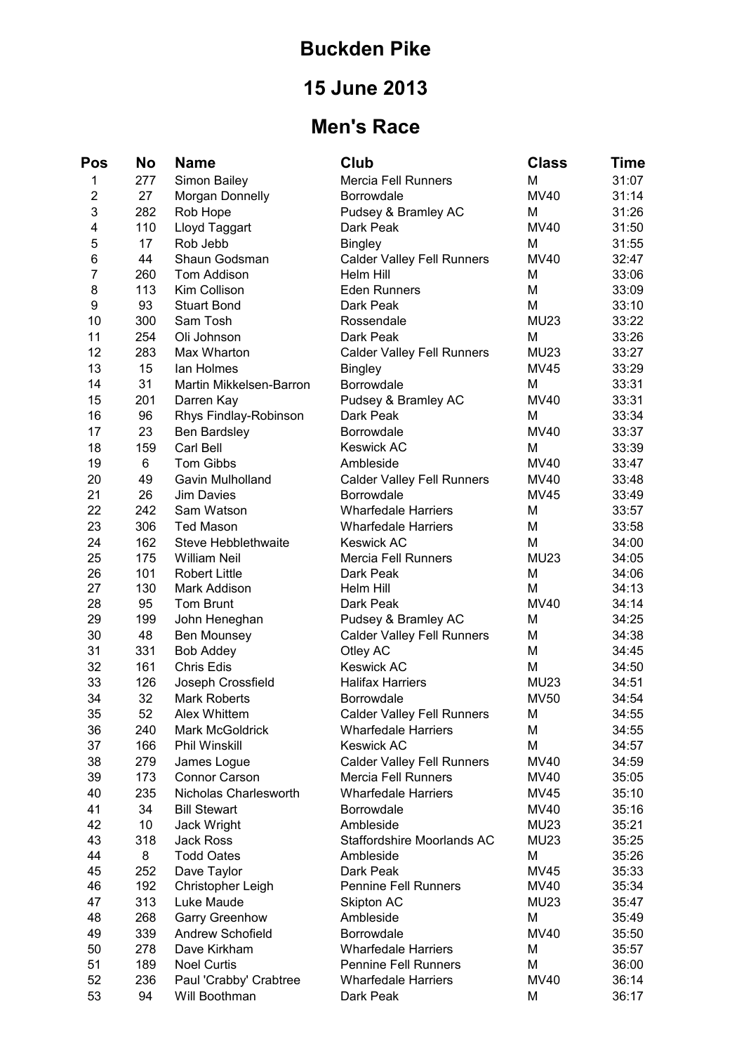## **Buckden Pike**

# **15 June 2013**

## **Men's Race**

| Pos            | <b>No</b> | <b>Name</b>              | Club                                                   | <b>Class</b>     | Time  |
|----------------|-----------|--------------------------|--------------------------------------------------------|------------------|-------|
| 1              | 277       | Simon Bailey             | <b>Mercia Fell Runners</b>                             | M                | 31:07 |
| $\overline{2}$ | 27        | Morgan Donnelly          | Borrowdale                                             | <b>MV40</b>      | 31:14 |
| 3              | 282       | Rob Hope                 | Pudsey & Bramley AC                                    | M                | 31:26 |
| 4              | 110       | Lloyd Taggart            | Dark Peak                                              | <b>MV40</b>      | 31:50 |
| 5              | 17        | Rob Jebb                 | <b>Bingley</b>                                         | M                | 31:55 |
| 6              | 44        | Shaun Godsman            | <b>Calder Valley Fell Runners</b>                      | <b>MV40</b>      | 32:47 |
| $\overline{7}$ | 260       | Tom Addison              | Helm Hill                                              | M                | 33:06 |
| 8              | 113       | Kim Collison             | <b>Eden Runners</b>                                    | M                | 33:09 |
| 9              | 93        | <b>Stuart Bond</b>       | Dark Peak                                              | M                | 33:10 |
| 10             | 300       | Sam Tosh                 | Rossendale                                             | <b>MU23</b>      | 33:22 |
| 11             | 254       | Oli Johnson              | Dark Peak                                              | M                | 33:26 |
| 12             | 283       | Max Wharton              | <b>Calder Valley Fell Runners</b>                      | <b>MU23</b>      | 33:27 |
| 13             | 15        | lan Holmes               | <b>Bingley</b>                                         | <b>MV45</b>      | 33:29 |
| 14             | 31        | Martin Mikkelsen-Barron  | Borrowdale                                             | M                | 33:31 |
| 15             | 201       | Darren Kay               | Pudsey & Bramley AC                                    | <b>MV40</b>      | 33:31 |
| 16             | 96        | Rhys Findlay-Robinson    | Dark Peak                                              | м                | 33:34 |
| 17             | 23        | Ben Bardsley             | <b>Borrowdale</b>                                      | <b>MV40</b>      | 33:37 |
| 18             | 159       | Carl Bell                | <b>Keswick AC</b>                                      | M                | 33:39 |
| 19             | 6         | <b>Tom Gibbs</b>         | Ambleside                                              | <b>MV40</b>      | 33:47 |
| 20             | 49        | Gavin Mulholland         |                                                        | <b>MV40</b>      | 33:48 |
| 21             | 26        | Jim Davies               | <b>Calder Valley Fell Runners</b><br><b>Borrowdale</b> | <b>MV45</b>      | 33:49 |
| 22             |           |                          |                                                        |                  |       |
|                | 242       | Sam Watson               | <b>Wharfedale Harriers</b>                             | M                | 33:57 |
| 23             | 306       | <b>Ted Mason</b>         | <b>Wharfedale Harriers</b>                             | M                | 33:58 |
| 24             | 162       | Steve Hebblethwaite      | <b>Keswick AC</b>                                      | M                | 34:00 |
| 25             | 175       | <b>William Neil</b>      | <b>Mercia Fell Runners</b>                             | <b>MU23</b>      | 34:05 |
| 26             | 101       | <b>Robert Little</b>     | Dark Peak                                              | M                | 34:06 |
| 27             | 130       | Mark Addison             | Helm Hill                                              | M<br><b>MV40</b> | 34:13 |
| 28             | 95        | <b>Tom Brunt</b>         | Dark Peak                                              |                  | 34:14 |
| 29             | 199       | John Heneghan            | Pudsey & Bramley AC                                    | M                | 34:25 |
| 30             | 48        | Ben Mounsey              | <b>Calder Valley Fell Runners</b>                      | M                | 34:38 |
| 31             | 331       | <b>Bob Addey</b>         | Otley AC                                               | M                | 34:45 |
| 32             | 161       | Chris Edis               | <b>Keswick AC</b>                                      | M                | 34:50 |
| 33             | 126       | Joseph Crossfield        | <b>Halifax Harriers</b>                                | <b>MU23</b>      | 34:51 |
| 34             | 32        | <b>Mark Roberts</b>      | <b>Borrowdale</b>                                      | <b>MV50</b>      | 34:54 |
| 35             | 52        | Alex Whittem             | <b>Calder Valley Fell Runners</b>                      | M                | 34:55 |
| 36             | 240       | Mark McGoldrick          | <b>Wharfedale Harriers</b>                             | M                | 34:55 |
| 37             | 166       | Phil Winskill            | <b>Keswick AC</b>                                      | M                | 34:57 |
| 38             | 279       | James Logue              | <b>Calder Valley Fell Runners</b>                      | <b>MV40</b>      | 34:59 |
| 39             | 173       | <b>Connor Carson</b>     | <b>Mercia Fell Runners</b>                             | MV40             | 35:05 |
| 40             | 235       | Nicholas Charlesworth    | <b>Wharfedale Harriers</b>                             | <b>MV45</b>      | 35:10 |
| 41             | 34        | <b>Bill Stewart</b>      | Borrowdale                                             | MV40             | 35:16 |
| 42             | 10        | Jack Wright              | Ambleside                                              | <b>MU23</b>      | 35:21 |
| 43             | 318       | <b>Jack Ross</b>         | Staffordshire Moorlands AC                             | <b>MU23</b>      | 35:25 |
| 44             | 8         | <b>Todd Oates</b>        | Ambleside                                              | M                | 35:26 |
| 45             | 252       | Dave Taylor              | Dark Peak                                              | <b>MV45</b>      | 35:33 |
| 46             | 192       | <b>Christopher Leigh</b> | <b>Pennine Fell Runners</b>                            | MV40             | 35:34 |
| 47             | 313       | Luke Maude               | Skipton AC                                             | <b>MU23</b>      | 35:47 |
| 48             | 268       | <b>Garry Greenhow</b>    | Ambleside                                              | M                | 35:49 |
| 49             | 339       | <b>Andrew Schofield</b>  | <b>Borrowdale</b>                                      | <b>MV40</b>      | 35:50 |
| 50             | 278       | Dave Kirkham             | <b>Wharfedale Harriers</b>                             | M                | 35:57 |
| 51             | 189       | <b>Noel Curtis</b>       | <b>Pennine Fell Runners</b>                            | M                | 36:00 |
| 52             | 236       | Paul 'Crabby' Crabtree   | <b>Wharfedale Harriers</b>                             | <b>MV40</b>      | 36:14 |
| 53             | 94        | Will Boothman            | Dark Peak                                              | M                | 36:17 |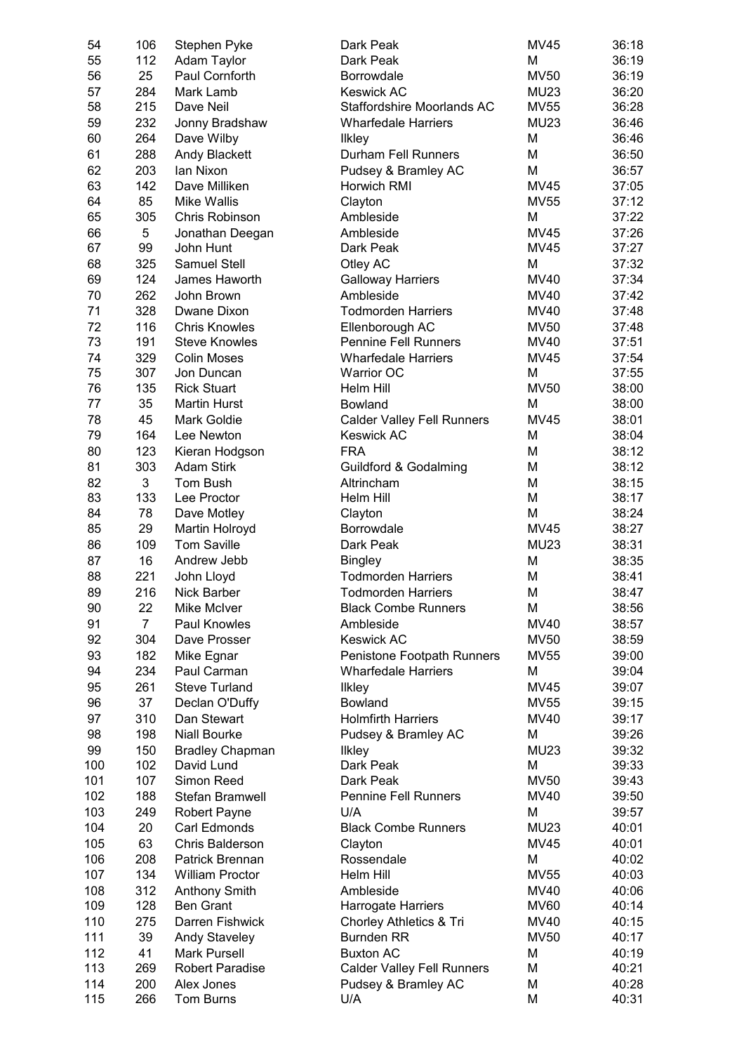| 54  | 106            | Stephen Pyke           | Dark Peak                         | MV45        | 36:18 |
|-----|----------------|------------------------|-----------------------------------|-------------|-------|
| 55  | 112            | Adam Taylor            | Dark Peak                         | M           | 36:19 |
| 56  | 25             | Paul Cornforth         | Borrowdale                        | <b>MV50</b> | 36:19 |
| 57  | 284            | Mark Lamb              | <b>Keswick AC</b>                 | <b>MU23</b> | 36:20 |
| 58  | 215            | Dave Neil              | Staffordshire Moorlands AC        | <b>MV55</b> | 36:28 |
| 59  | 232            | Jonny Bradshaw         | <b>Wharfedale Harriers</b>        | <b>MU23</b> | 36:46 |
| 60  | 264            | Dave Wilby             | Ilkley                            | M           | 36:46 |
| 61  | 288            | <b>Andy Blackett</b>   | Durham Fell Runners               | M           | 36:50 |
| 62  | 203            | lan Nixon              | Pudsey & Bramley AC               | M           | 36:57 |
| 63  | 142            | Dave Milliken          | Horwich RMI                       | <b>MV45</b> | 37:05 |
| 64  | 85             | <b>Mike Wallis</b>     | Clayton                           | <b>MV55</b> | 37:12 |
| 65  | 305            | Chris Robinson         | Ambleside                         | M           | 37:22 |
| 66  | 5              | Jonathan Deegan        | Ambleside                         | <b>MV45</b> | 37:26 |
| 67  | 99             | John Hunt              | Dark Peak                         | <b>MV45</b> | 37:27 |
| 68  | 325            | <b>Samuel Stell</b>    | Otley AC                          | M           | 37:32 |
| 69  | 124            | James Haworth          |                                   | MV40        | 37:34 |
|     |                |                        | <b>Galloway Harriers</b>          |             |       |
| 70  | 262            | John Brown             | Ambleside                         | MV40        | 37:42 |
| 71  | 328            | Dwane Dixon            | <b>Todmorden Harriers</b>         | MV40        | 37:48 |
| 72  | 116            | <b>Chris Knowles</b>   | Ellenborough AC                   | <b>MV50</b> | 37:48 |
| 73  | 191            | <b>Steve Knowles</b>   | <b>Pennine Fell Runners</b>       | MV40        | 37:51 |
| 74  | 329            | <b>Colin Moses</b>     | <b>Wharfedale Harriers</b>        | <b>MV45</b> | 37:54 |
| 75  | 307            | Jon Duncan             | <b>Warrior OC</b>                 | M           | 37:55 |
| 76  | 135            | <b>Rick Stuart</b>     | Helm Hill                         | <b>MV50</b> | 38:00 |
| 77  | 35             | <b>Martin Hurst</b>    | <b>Bowland</b>                    | M           | 38:00 |
| 78  | 45             | Mark Goldie            | <b>Calder Valley Fell Runners</b> | <b>MV45</b> | 38:01 |
| 79  | 164            | Lee Newton             | <b>Keswick AC</b>                 | M           | 38:04 |
| 80  | 123            | Kieran Hodgson         | <b>FRA</b>                        | M           | 38:12 |
| 81  | 303            | <b>Adam Stirk</b>      | <b>Guildford &amp; Godalming</b>  | M           | 38:12 |
| 82  | $\mathbf{3}$   | Tom Bush               | Altrincham                        | M           | 38:15 |
| 83  | 133            | Lee Proctor            | Helm Hill                         | M           | 38:17 |
| 84  | 78             | Dave Motley            | Clayton                           | M           | 38:24 |
| 85  | 29             | Martin Holroyd         | <b>Borrowdale</b>                 | <b>MV45</b> | 38:27 |
| 86  | 109            | <b>Tom Saville</b>     | Dark Peak                         | <b>MU23</b> | 38:31 |
| 87  | 16             | Andrew Jebb            | <b>Bingley</b>                    | M           | 38:35 |
| 88  | 221            | John Lloyd             | <b>Todmorden Harriers</b>         | M           | 38:41 |
| 89  | 216            | Nick Barber            | <b>Todmorden Harriers</b>         | M           | 38:47 |
| 90  | 22             | Mike McIver            | <b>Black Combe Runners</b>        | M           | 38:56 |
| 91  | $\overline{7}$ | Paul Knowles           | Ambleside                         | <b>MV40</b> | 38:57 |
| 92  | 304            | Dave Prosser           | <b>Keswick AC</b>                 | <b>MV50</b> | 38:59 |
| 93  | 182            | Mike Egnar             | Penistone Footpath Runners        | <b>MV55</b> | 39:00 |
| 94  | 234            | Paul Carman            | <b>Wharfedale Harriers</b>        | M           | 39:04 |
| 95  | 261            | <b>Steve Turland</b>   | <b>Ilkley</b>                     | <b>MV45</b> | 39:07 |
| 96  | 37             | Declan O'Duffy         | Bowland                           | <b>MV55</b> | 39:15 |
| 97  | 310            | Dan Stewart            | <b>Holmfirth Harriers</b>         | MV40        | 39:17 |
| 98  | 198            | <b>Niall Bourke</b>    | Pudsey & Bramley AC               | M           | 39:26 |
| 99  | 150            | <b>Bradley Chapman</b> | <b>Ilkley</b>                     | <b>MU23</b> | 39:32 |
| 100 | 102            | David Lund             | Dark Peak                         | M           | 39:33 |
| 101 | 107            | Simon Reed             | Dark Peak                         | <b>MV50</b> | 39:43 |
| 102 | 188            | Stefan Bramwell        | Pennine Fell Runners              | MV40        | 39:50 |
|     |                |                        |                                   |             |       |
| 103 | 249            | <b>Robert Payne</b>    | U/A                               | M           | 39:57 |
| 104 | 20             | Carl Edmonds           | <b>Black Combe Runners</b>        | <b>MU23</b> | 40:01 |
| 105 | 63             | Chris Balderson        | Clayton                           | <b>MV45</b> | 40:01 |
| 106 | 208            | Patrick Brennan        | Rossendale                        | M           | 40:02 |
| 107 | 134            | <b>William Proctor</b> | Helm Hill                         | <b>MV55</b> | 40:03 |
| 108 | 312            | <b>Anthony Smith</b>   | Ambleside                         | MV40        | 40:06 |
| 109 | 128            | <b>Ben Grant</b>       | Harrogate Harriers                | <b>MV60</b> | 40:14 |
| 110 | 275            | Darren Fishwick        | Chorley Athletics & Tri           | MV40        | 40:15 |
| 111 | 39             | <b>Andy Staveley</b>   | <b>Burnden RR</b>                 | <b>MV50</b> | 40:17 |
| 112 | 41             | <b>Mark Pursell</b>    | <b>Buxton AC</b>                  | M           | 40:19 |
| 113 | 269            | <b>Robert Paradise</b> | <b>Calder Valley Fell Runners</b> | M           | 40:21 |
| 114 | 200            | Alex Jones             | Pudsey & Bramley AC               | M           | 40:28 |
| 115 | 266            | Tom Burns              | U/A                               | M           | 40:31 |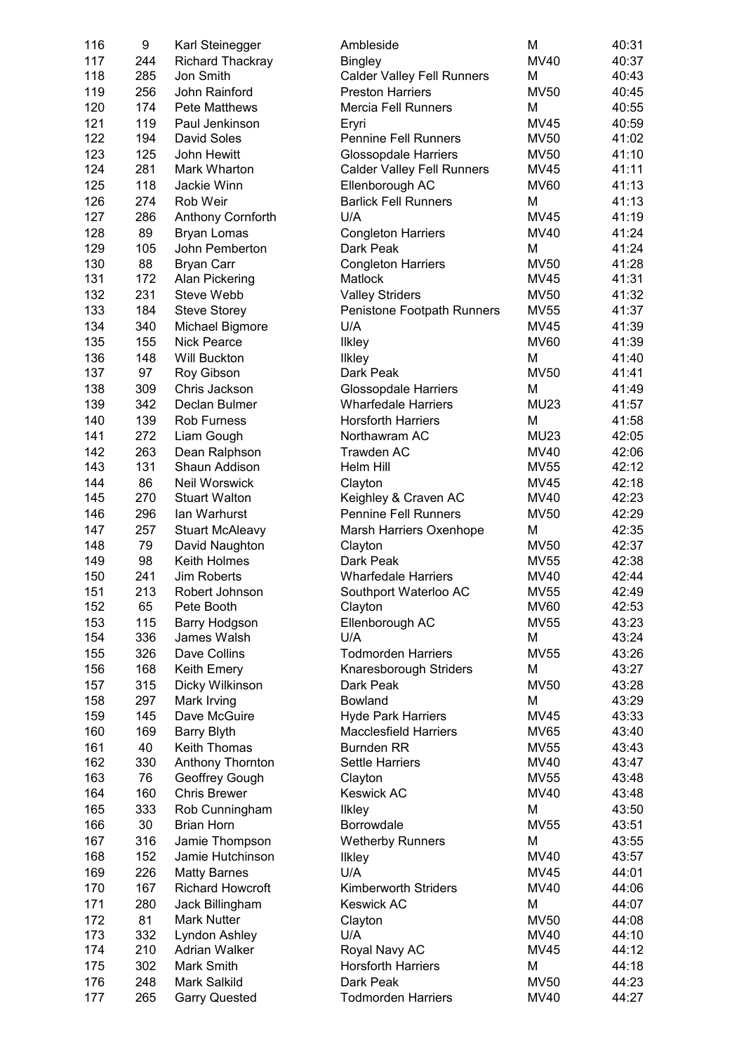| 116 | 9   | Karl Steinegger         | Ambleside                         | M           | 40:31 |
|-----|-----|-------------------------|-----------------------------------|-------------|-------|
| 117 | 244 | <b>Richard Thackray</b> | <b>Bingley</b>                    | <b>MV40</b> | 40:37 |
| 118 | 285 | Jon Smith               | <b>Calder Valley Fell Runners</b> | M           | 40:43 |
| 119 | 256 | John Rainford           | <b>Preston Harriers</b>           | <b>MV50</b> | 40:45 |
| 120 | 174 | <b>Pete Matthews</b>    | <b>Mercia Fell Runners</b>        | M           | 40:55 |
| 121 | 119 | Paul Jenkinson          | Eryri                             | <b>MV45</b> | 40:59 |
| 122 | 194 | David Soles             | <b>Pennine Fell Runners</b>       | <b>MV50</b> | 41:02 |
| 123 | 125 | John Hewitt             | <b>Glossopdale Harriers</b>       | <b>MV50</b> | 41:10 |
| 124 | 281 | Mark Wharton            | <b>Calder Valley Fell Runners</b> | <b>MV45</b> | 41:11 |
| 125 | 118 | Jackie Winn             | Ellenborough AC                   | <b>MV60</b> | 41:13 |
| 126 | 274 | Rob Weir                | <b>Barlick Fell Runners</b>       | М           | 41:13 |
| 127 | 286 | Anthony Cornforth       | U/A                               | <b>MV45</b> | 41:19 |
| 128 | 89  | <b>Bryan Lomas</b>      | <b>Congleton Harriers</b>         | <b>MV40</b> | 41:24 |
| 129 | 105 | John Pemberton          | Dark Peak                         | M           | 41:24 |
| 130 | 88  | <b>Bryan Carr</b>       | <b>Congleton Harriers</b>         | <b>MV50</b> | 41:28 |
| 131 | 172 | Alan Pickering          | Matlock                           | <b>MV45</b> | 41:31 |
| 132 | 231 | Steve Webb              | <b>Valley Striders</b>            | <b>MV50</b> | 41:32 |
| 133 | 184 | <b>Steve Storey</b>     | Penistone Footpath Runners        | <b>MV55</b> | 41:37 |
| 134 | 340 | Michael Bigmore         | U/A                               | <b>MV45</b> | 41:39 |
| 135 | 155 | <b>Nick Pearce</b>      | <b>Ilkley</b>                     | <b>MV60</b> | 41:39 |
| 136 | 148 | Will Buckton            | <b>Ilkley</b>                     | M           | 41:40 |
| 137 | 97  | Roy Gibson              | Dark Peak                         | <b>MV50</b> | 41:41 |
| 138 | 309 | Chris Jackson           | <b>Glossopdale Harriers</b>       | M           | 41:49 |
| 139 | 342 | Declan Bulmer           | <b>Wharfedale Harriers</b>        | <b>MU23</b> | 41:57 |
| 140 | 139 | <b>Rob Furness</b>      | <b>Horsforth Harriers</b>         | M           | 41:58 |
| 141 | 272 | Liam Gough              | Northawram AC                     | <b>MU23</b> | 42:05 |
| 142 | 263 | Dean Ralphson           | Trawden AC                        | MV40        | 42:06 |
| 143 | 131 | Shaun Addison           | Helm Hill                         | <b>MV55</b> | 42:12 |
| 144 | 86  | Neil Worswick           | Clayton                           | <b>MV45</b> | 42:18 |
| 145 | 270 | <b>Stuart Walton</b>    | Keighley & Craven AC              | <b>MV40</b> | 42:23 |
| 146 | 296 | lan Warhurst            | <b>Pennine Fell Runners</b>       | <b>MV50</b> | 42:29 |
| 147 | 257 | <b>Stuart McAleavy</b>  | Marsh Harriers Oxenhope           | M           | 42:35 |
| 148 | 79  | David Naughton          | Clayton                           | <b>MV50</b> | 42:37 |
| 149 | 98  | Keith Holmes            | Dark Peak                         | <b>MV55</b> | 42:38 |
| 150 | 241 | Jim Roberts             | <b>Wharfedale Harriers</b>        | MV40        | 42:44 |
| 151 | 213 | Robert Johnson          | Southport Waterloo AC             | <b>MV55</b> | 42:49 |
| 152 | 65  | Pete Booth              | Clayton                           | <b>MV60</b> | 42:53 |
| 153 | 115 | Barry Hodgson           | Ellenborough AC                   | <b>MV55</b> | 43:23 |
| 154 | 336 | James Walsh             | U/A                               | M           | 43:24 |
| 155 | 326 | Dave Collins            | <b>Todmorden Harriers</b>         | <b>MV55</b> | 43:26 |
| 156 | 168 | Keith Emery             | Knaresborough Striders            | M           | 43:27 |
| 157 | 315 | Dicky Wilkinson         | Dark Peak                         | <b>MV50</b> | 43:28 |
| 158 | 297 | Mark Irving             | Bowland                           | M           | 43:29 |
| 159 | 145 | Dave McGuire            | <b>Hyde Park Harriers</b>         | <b>MV45</b> | 43:33 |
| 160 | 169 | <b>Barry Blyth</b>      | <b>Macclesfield Harriers</b>      | <b>MV65</b> | 43:40 |
| 161 | 40  | Keith Thomas            | <b>Burnden RR</b>                 | <b>MV55</b> | 43:43 |
| 162 | 330 | Anthony Thornton        | Settle Harriers                   | MV40        | 43:47 |
| 163 | 76  | Geoffrey Gough          | Clayton                           | <b>MV55</b> | 43:48 |
| 164 | 160 | <b>Chris Brewer</b>     | <b>Keswick AC</b>                 | <b>MV40</b> | 43:48 |
| 165 | 333 | Rob Cunningham          | <b>Ilkley</b>                     | M           | 43:50 |
| 166 | 30  | <b>Brian Horn</b>       | Borrowdale                        | <b>MV55</b> | 43:51 |
| 167 | 316 | Jamie Thompson          | <b>Wetherby Runners</b>           | M           | 43:55 |
| 168 | 152 | Jamie Hutchinson        | Ilkley                            | <b>MV40</b> | 43:57 |
| 169 | 226 | <b>Matty Barnes</b>     | U/A                               | <b>MV45</b> | 44:01 |
| 170 | 167 | <b>Richard Howcroft</b> | <b>Kimberworth Striders</b>       | <b>MV40</b> | 44:06 |
| 171 | 280 | Jack Billingham         | <b>Keswick AC</b>                 | M           | 44:07 |
| 172 | 81  | <b>Mark Nutter</b>      | Clayton                           | <b>MV50</b> | 44:08 |
| 173 | 332 | Lyndon Ashley           | U/A                               | MV40        | 44:10 |
| 174 | 210 | Adrian Walker           | Royal Navy AC                     | <b>MV45</b> | 44:12 |
| 175 | 302 | Mark Smith              | <b>Horsforth Harriers</b>         | M           | 44:18 |
| 176 | 248 | Mark Salkild            | Dark Peak                         | <b>MV50</b> | 44:23 |
| 177 | 265 | <b>Garry Quested</b>    | <b>Todmorden Harriers</b>         | <b>MV40</b> | 44:27 |
|     |     |                         |                                   |             |       |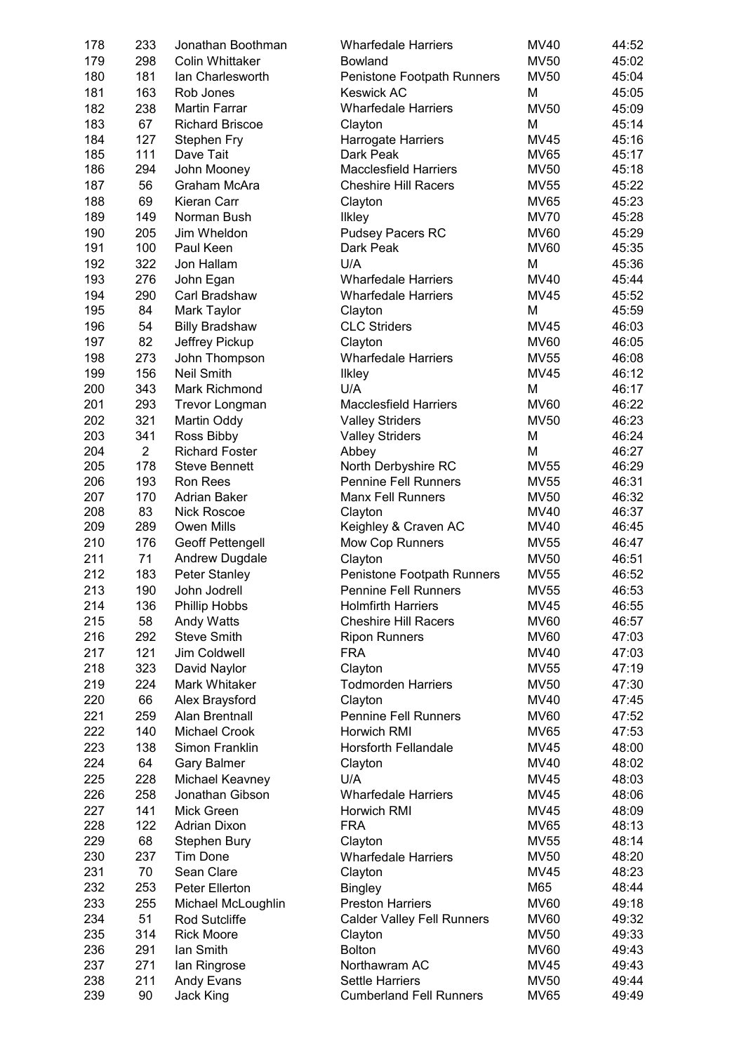| 178 | 233            | Jonathan Boothman       | <b>Wharfedale Harriers</b>        | MV40        | 44:52 |
|-----|----------------|-------------------------|-----------------------------------|-------------|-------|
| 179 | 298            | <b>Colin Whittaker</b>  | Bowland                           | <b>MV50</b> | 45:02 |
| 180 | 181            | Ian Charlesworth        | Penistone Footpath Runners        | <b>MV50</b> | 45:04 |
| 181 | 163            | Rob Jones               | <b>Keswick AC</b>                 | Μ           | 45:05 |
| 182 | 238            | <b>Martin Farrar</b>    | <b>Wharfedale Harriers</b>        | <b>MV50</b> | 45:09 |
| 183 | 67             | <b>Richard Briscoe</b>  | Clayton                           | M           | 45:14 |
| 184 | 127            | Stephen Fry             | Harrogate Harriers                | MV45        | 45:16 |
| 185 | 111            | Dave Tait               | Dark Peak                         | <b>MV65</b> | 45:17 |
| 186 | 294            | John Mooney             | <b>Macclesfield Harriers</b>      | <b>MV50</b> | 45:18 |
| 187 | 56             | Graham McAra            | <b>Cheshire Hill Racers</b>       | <b>MV55</b> | 45:22 |
| 188 | 69             | Kieran Carr             | Clayton                           | <b>MV65</b> | 45:23 |
| 189 | 149            | Norman Bush             | <b>Ilkley</b>                     | <b>MV70</b> | 45:28 |
| 190 | 205            | Jim Wheldon             | <b>Pudsey Pacers RC</b>           | <b>MV60</b> | 45:29 |
| 191 | 100            | Paul Keen               | Dark Peak                         | <b>MV60</b> | 45:35 |
| 192 | 322            | Jon Hallam              | U/A                               | M           | 45:36 |
| 193 | 276            | John Egan               | <b>Wharfedale Harriers</b>        | MV40        | 45:44 |
| 194 | 290            | Carl Bradshaw           | <b>Wharfedale Harriers</b>        | MV45        | 45:52 |
| 195 | 84             | Mark Taylor             | Clayton                           | M           | 45:59 |
| 196 | 54             | <b>Billy Bradshaw</b>   | <b>CLC Striders</b>               | MV45        | 46:03 |
| 197 |                |                         |                                   |             | 46:05 |
|     | 82             | Jeffrey Pickup          | Clayton                           | <b>MV60</b> |       |
| 198 | 273            | John Thompson           | <b>Wharfedale Harriers</b>        | <b>MV55</b> | 46:08 |
| 199 | 156            | <b>Neil Smith</b>       | Ilkley                            | <b>MV45</b> | 46:12 |
| 200 | 343            | Mark Richmond           | U/A                               | M           | 46:17 |
| 201 | 293            | <b>Trevor Longman</b>   | <b>Macclesfield Harriers</b>      | <b>MV60</b> | 46:22 |
| 202 | 321            | Martin Oddy             | <b>Valley Striders</b>            | <b>MV50</b> | 46:23 |
| 203 | 341            | Ross Bibby              | <b>Valley Striders</b>            | M           | 46:24 |
| 204 | $\overline{2}$ | <b>Richard Foster</b>   | Abbey                             | M           | 46:27 |
| 205 | 178            | <b>Steve Bennett</b>    | North Derbyshire RC               | <b>MV55</b> | 46:29 |
| 206 | 193            | Ron Rees                | <b>Pennine Fell Runners</b>       | <b>MV55</b> | 46:31 |
| 207 | 170            | <b>Adrian Baker</b>     | <b>Manx Fell Runners</b>          | <b>MV50</b> | 46:32 |
| 208 | 83             | <b>Nick Roscoe</b>      | Clayton                           | MV40        | 46:37 |
| 209 | 289            | Owen Mills              | Keighley & Craven AC              | MV40        | 46:45 |
| 210 | 176            | <b>Geoff Pettengell</b> | Mow Cop Runners                   | MV55        | 46:47 |
| 211 | 71             | <b>Andrew Dugdale</b>   | Clayton                           | <b>MV50</b> | 46:51 |
| 212 | 183            | Peter Stanley           | Penistone Footpath Runners        | <b>MV55</b> | 46:52 |
| 213 | 190            | John Jodrell            | <b>Pennine Fell Runners</b>       | <b>MV55</b> | 46:53 |
| 214 | 136            | Phillip Hobbs           | <b>Holmfirth Harriers</b>         | MV45        | 46:55 |
| 215 | 58             | Andy Watts              | <b>Cheshire Hill Racers</b>       | <b>MV60</b> | 46:57 |
| 216 | 292            | <b>Steve Smith</b>      | <b>Ripon Runners</b>              | <b>MV60</b> | 47:03 |
| 217 | 121            | Jim Coldwell            | <b>FRA</b>                        | <b>MV40</b> | 47:03 |
| 218 | 323            | David Naylor            | Clayton                           | <b>MV55</b> | 47:19 |
| 219 | 224            | Mark Whitaker           | <b>Todmorden Harriers</b>         | <b>MV50</b> | 47:30 |
| 220 | 66             | Alex Braysford          | Clayton                           | MV40        | 47:45 |
| 221 | 259            | Alan Brentnall          | <b>Pennine Fell Runners</b>       | <b>MV60</b> | 47:52 |
| 222 | 140            | Michael Crook           | Horwich RMI                       | <b>MV65</b> | 47:53 |
| 223 | 138            | Simon Franklin          | <b>Horsforth Fellandale</b>       | MV45        | 48:00 |
|     |                |                         |                                   |             |       |
| 224 | 64             | <b>Gary Balmer</b>      | Clayton                           | MV40        | 48:02 |
| 225 | 228            | Michael Keavney         | U/A                               | MV45        | 48:03 |
| 226 | 258            | Jonathan Gibson         | <b>Wharfedale Harriers</b>        | <b>MV45</b> | 48:06 |
| 227 | 141            | Mick Green              | Horwich RMI                       | <b>MV45</b> | 48:09 |
| 228 | 122            | <b>Adrian Dixon</b>     | <b>FRA</b>                        | <b>MV65</b> | 48:13 |
| 229 | 68             | Stephen Bury            | Clayton                           | <b>MV55</b> | 48:14 |
| 230 | 237            | Tim Done                | <b>Wharfedale Harriers</b>        | <b>MV50</b> | 48:20 |
| 231 | 70             | Sean Clare              | Clayton                           | <b>MV45</b> | 48:23 |
| 232 | 253            | Peter Ellerton          | <b>Bingley</b>                    | M65         | 48:44 |
| 233 | 255            | Michael McLoughlin      | <b>Preston Harriers</b>           | <b>MV60</b> | 49:18 |
| 234 | 51             | Rod Sutcliffe           | <b>Calder Valley Fell Runners</b> | <b>MV60</b> | 49:32 |
| 235 | 314            | <b>Rick Moore</b>       | Clayton                           | <b>MV50</b> | 49:33 |
| 236 | 291            | lan Smith               | <b>Bolton</b>                     | <b>MV60</b> | 49:43 |
| 237 | 271            | lan Ringrose            | Northawram AC                     | MV45        | 49:43 |
| 238 | 211            | Andy Evans              | <b>Settle Harriers</b>            | <b>MV50</b> | 49:44 |
| 239 | 90             | Jack King               | <b>Cumberland Fell Runners</b>    | <b>MV65</b> | 49:49 |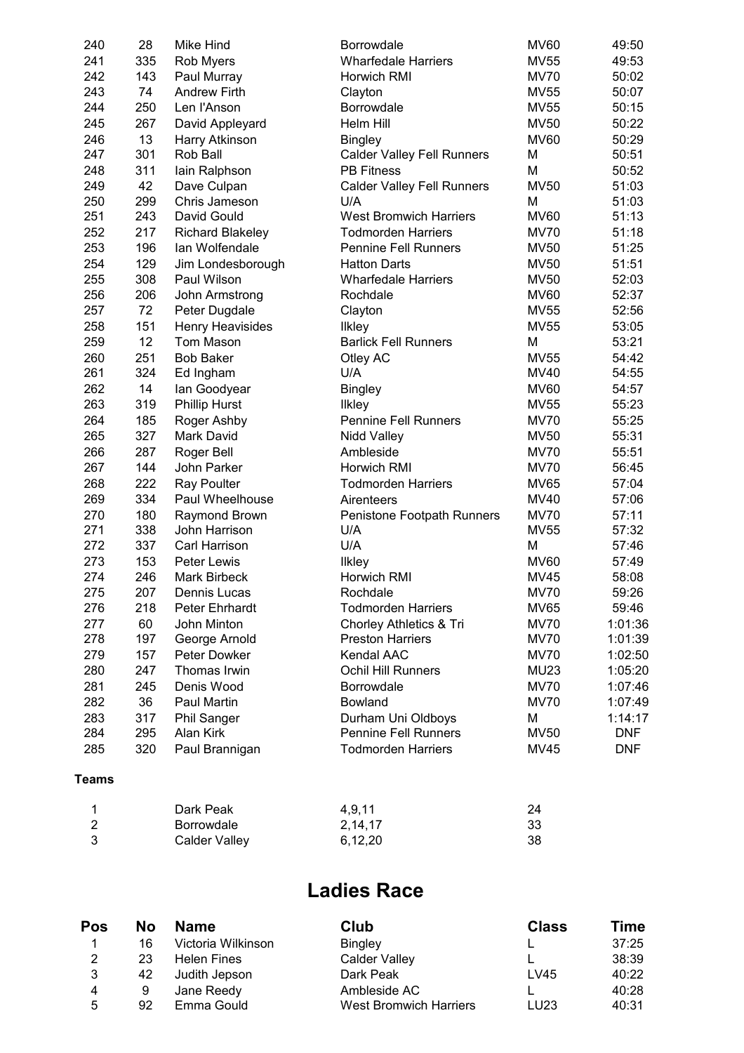| 240 | 28  | Mike Hind               | Borrowdale                        | <b>MV60</b> | 49:50      |
|-----|-----|-------------------------|-----------------------------------|-------------|------------|
| 241 | 335 | Rob Myers               | <b>Wharfedale Harriers</b>        | <b>MV55</b> | 49:53      |
| 242 | 143 | Paul Murray             | Horwich RMI                       | <b>MV70</b> | 50:02      |
| 243 | 74  | <b>Andrew Firth</b>     | Clayton                           | <b>MV55</b> | 50:07      |
| 244 | 250 | Len l'Anson             | Borrowdale                        | <b>MV55</b> | 50:15      |
| 245 | 267 | David Appleyard         | Helm Hill                         | <b>MV50</b> | 50:22      |
| 246 | 13  | Harry Atkinson          | <b>Bingley</b>                    | <b>MV60</b> | 50:29      |
| 247 | 301 | Rob Ball                | <b>Calder Valley Fell Runners</b> | М           | 50:51      |
| 248 | 311 | lain Ralphson           | <b>PB Fitness</b>                 | M           | 50:52      |
| 249 | 42  | Dave Culpan             | <b>Calder Valley Fell Runners</b> | <b>MV50</b> | 51:03      |
| 250 | 299 | Chris Jameson           | U/A                               | м           | 51:03      |
| 251 | 243 | David Gould             | <b>West Bromwich Harriers</b>     | <b>MV60</b> | 51:13      |
| 252 | 217 | <b>Richard Blakeley</b> | <b>Todmorden Harriers</b>         | <b>MV70</b> | 51:18      |
| 253 | 196 | lan Wolfendale          | <b>Pennine Fell Runners</b>       | <b>MV50</b> | 51:25      |
| 254 | 129 | Jim Londesborough       | <b>Hatton Darts</b>               | <b>MV50</b> | 51:51      |
| 255 | 308 | Paul Wilson             | <b>Wharfedale Harriers</b>        | <b>MV50</b> | 52:03      |
| 256 | 206 | John Armstrong          | Rochdale                          | <b>MV60</b> | 52:37      |
| 257 | 72  | Peter Dugdale           | Clayton                           | <b>MV55</b> | 52:56      |
| 258 | 151 | Henry Heavisides        | <b>Ilkley</b>                     | <b>MV55</b> | 53:05      |
| 259 | 12  | Tom Mason               | <b>Barlick Fell Runners</b>       | M           | 53:21      |
| 260 | 251 | <b>Bob Baker</b>        | Otley AC                          | <b>MV55</b> | 54:42      |
| 261 | 324 | Ed Ingham               | U/A                               | <b>MV40</b> | 54:55      |
| 262 | 14  | lan Goodyear            | <b>Bingley</b>                    | <b>MV60</b> | 54:57      |
| 263 | 319 | <b>Phillip Hurst</b>    | <b>Ilkley</b>                     | <b>MV55</b> | 55:23      |
| 264 | 185 | Roger Ashby             | <b>Pennine Fell Runners</b>       | <b>MV70</b> | 55:25      |
| 265 | 327 | Mark David              | Nidd Valley                       | <b>MV50</b> | 55:31      |
| 266 | 287 | Roger Bell              | Ambleside                         | <b>MV70</b> | 55:51      |
| 267 | 144 | John Parker             | Horwich RMI                       | <b>MV70</b> | 56:45      |
| 268 | 222 | <b>Ray Poulter</b>      | <b>Todmorden Harriers</b>         | <b>MV65</b> | 57:04      |
| 269 | 334 | Paul Wheelhouse         | Airenteers                        | <b>MV40</b> | 57:06      |
| 270 | 180 | Raymond Brown           | Penistone Footpath Runners        | <b>MV70</b> | 57:11      |
| 271 | 338 | John Harrison           | U/A                               | <b>MV55</b> | 57:32      |
| 272 | 337 | Carl Harrison           | U/A                               | M           | 57:46      |
| 273 | 153 | Peter Lewis             | <b>Ilkley</b>                     | <b>MV60</b> | 57:49      |
| 274 | 246 | <b>Mark Birbeck</b>     | Horwich RMI                       | <b>MV45</b> | 58:08      |
| 275 | 207 | Dennis Lucas            | Rochdale                          | <b>MV70</b> | 59:26      |
| 276 | 218 | Peter Ehrhardt          | <b>Todmorden Harriers</b>         | <b>MV65</b> | 59:46      |
| 277 | 60  | John Minton             | Chorley Athletics & Tri           | <b>MV70</b> | 1:01:36    |
| 278 | 197 | George Arnold           | <b>Preston Harriers</b>           | <b>MV70</b> | 1:01:39    |
| 279 | 157 | Peter Dowker            | Kendal AAC                        | <b>MV70</b> | 1:02:50    |
| 280 | 247 | Thomas Irwin            | Ochil Hill Runners                | <b>MU23</b> | 1:05:20    |
| 281 | 245 | Denis Wood              | Borrowdale                        | <b>MV70</b> | 1:07:46    |
| 282 | 36  | Paul Martin             | Bowland                           | <b>MV70</b> | 1:07:49    |
| 283 | 317 | Phil Sanger             | Durham Uni Oldboys                | M           | 1:14:17    |
| 284 | 295 | Alan Kirk               | <b>Pennine Fell Runners</b>       | <b>MV50</b> | <b>DNF</b> |
| 285 | 320 | Paul Brannigan          | <b>Todmorden Harriers</b>         | <b>MV45</b> | <b>DNF</b> |
|     |     |                         |                                   |             |            |

#### **Teams**

| Dark Peak         | 4.9.11  | 24 |
|-------------------|---------|----|
| <b>Borrowdale</b> | 2,14,17 | 33 |
| Calder Valley     | 6,12,20 | 38 |

## **Ladies Race**

| Pos | No | <b>Name</b>        | Club                          | <b>Class</b> | Time  |
|-----|----|--------------------|-------------------------------|--------------|-------|
|     | 16 | Victoria Wilkinson | <b>Bingley</b>                |              | 37:25 |
| 2   | 23 | <b>Helen Fines</b> | <b>Calder Valley</b>          |              | 38:39 |
| 3   | 42 | Judith Jepson      | Dark Peak                     | LV45         | 40:22 |
| 4   | 9  | Jane Reedy         | Ambleside AC                  |              | 40:28 |
| 5   | 92 | Emma Gould         | <b>West Bromwich Harriers</b> | LU23         | 40:31 |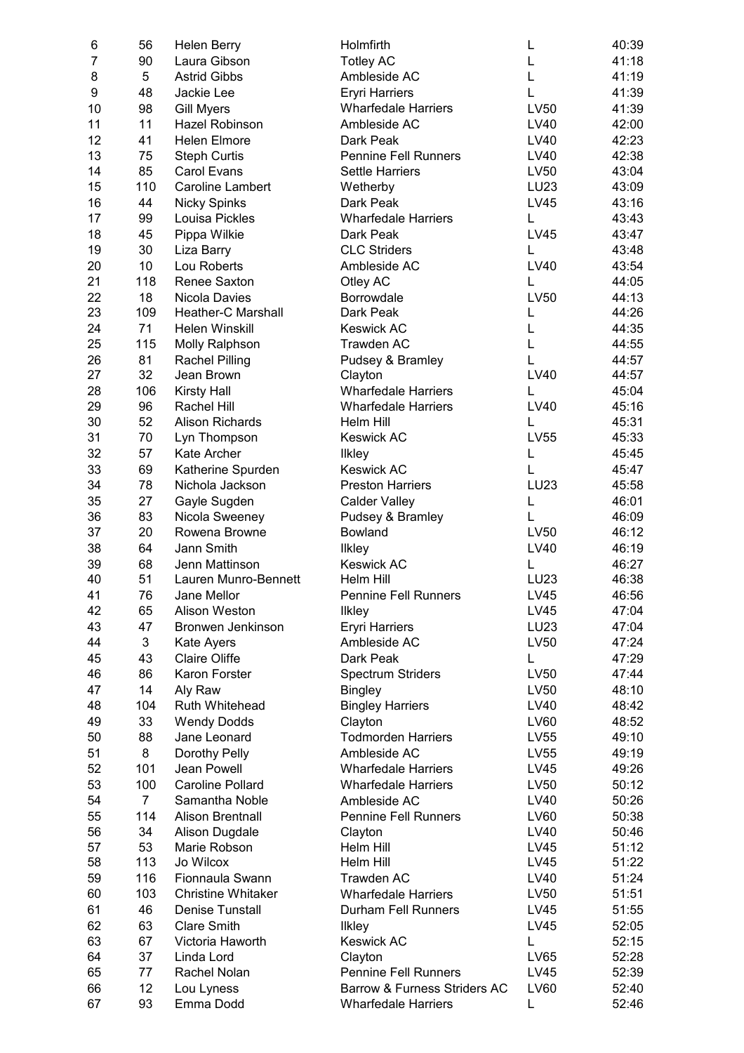| 6        | 56  | <b>Helen Berry</b>                     | Holmfirth                      | L                | 40:39          |
|----------|-----|----------------------------------------|--------------------------------|------------------|----------------|
| 7        | 90  | Laura Gibson                           | <b>Totley AC</b>               | L                | 41:18          |
| 8        | 5   | <b>Astrid Gibbs</b>                    | Ambleside AC                   | L                | 41:19          |
| 9        | 48  | Jackie Lee                             | <b>Eryri Harriers</b>          | L                | 41:39          |
| 10       | 98  | <b>Gill Myers</b>                      | <b>Wharfedale Harriers</b>     | LV50             | 41:39          |
| 11       | 11  | Hazel Robinson                         | Ambleside AC                   | LV40             | 42:00          |
| 12       | 41  | <b>Helen Elmore</b>                    | Dark Peak                      | LV40             | 42:23          |
| 13       | 75  | <b>Steph Curtis</b>                    | <b>Pennine Fell Runners</b>    | LV40             | 42:38          |
| 14       | 85  | Carol Evans                            | <b>Settle Harriers</b>         | LV50             | 43:04          |
| 15       | 110 | <b>Caroline Lambert</b>                | Wetherby                       | LU23             | 43:09          |
| 16       | 44  | <b>Nicky Spinks</b>                    | Dark Peak                      | <b>LV45</b>      | 43:16          |
| 17       | 99  | Louisa Pickles                         | <b>Wharfedale Harriers</b>     | L                | 43:43          |
| 18       | 45  | Pippa Wilkie                           | Dark Peak                      | <b>LV45</b>      | 43:47          |
| 19       | 30  | Liza Barry                             | <b>CLC Striders</b>            | L                | 43:48          |
| 20       | 10  | Lou Roberts                            | Ambleside AC                   | <b>LV40</b>      | 43:54          |
| 21       | 118 | Renee Saxton                           | Otley AC                       | L                | 44:05          |
| 22       | 18  | Nicola Davies                          | Borrowdale                     | LV50             | 44:13          |
| 23       | 109 | <b>Heather-C Marshall</b>              | Dark Peak                      | L                | 44:26          |
| 24       | 71  | Helen Winskill                         | <b>Keswick AC</b>              | L                | 44:35          |
| 25       | 115 | Molly Ralphson                         | Trawden AC                     | L                | 44:55          |
| 26       | 81  | <b>Rachel Pilling</b>                  | Pudsey & Bramley               | L                | 44:57          |
| 27       | 32  | Jean Brown                             | Clayton                        | <b>LV40</b>      | 44:57          |
| 28       | 106 | <b>Kirsty Hall</b>                     | <b>Wharfedale Harriers</b>     | L                | 45:04          |
| 29       | 96  | Rachel Hill                            | <b>Wharfedale Harriers</b>     | LV40             | 45:16          |
| 30       | 52  | <b>Alison Richards</b>                 | Helm Hill                      | L                | 45:31          |
| 31       | 70  | Lyn Thompson                           | <b>Keswick AC</b>              | LV55             | 45:33          |
| 32       | 57  | Kate Archer                            | Ilkley                         | L                | 45:45          |
| 33       | 69  | Katherine Spurden                      | <b>Keswick AC</b>              | L                | 45:47          |
| 34       | 78  | Nichola Jackson                        | <b>Preston Harriers</b>        | <b>LU23</b>      | 45:58          |
| 35       | 27  | Gayle Sugden                           | <b>Calder Valley</b>           | L                | 46:01          |
| 36       | 83  | Nicola Sweeney                         | Pudsey & Bramley               | L                | 46:09          |
| 37       | 20  | Rowena Browne                          | Bowland                        | LV50             | 46:12          |
| 38       | 64  | Jann Smith                             |                                | LV40             | 46:19          |
|          | 68  |                                        | <b>Ilkley</b>                  |                  |                |
| 39<br>40 | 51  | Jenn Mattinson<br>Lauren Munro-Bennett | <b>Keswick AC</b><br>Helm Hill | L<br><b>LU23</b> | 46:27<br>46:38 |
| 41       | 76  | Jane Mellor                            |                                | <b>LV45</b>      | 46:56          |
|          |     |                                        | <b>Pennine Fell Runners</b>    |                  |                |
| 42       | 65  | Alison Weston                          | Ilkley                         | LV45             | 47:04          |
| 43       | 47  | Bronwen Jenkinson                      | <b>Eryri Harriers</b>          | LU23             | 47:04          |
| 44       | 3   | Kate Ayers                             | Ambleside AC                   | LV50             | 47:24          |
| 45       | 43  | <b>Claire Oliffe</b>                   | Dark Peak                      | L                | 47:29          |
| 46       | 86  | Karon Forster                          | <b>Spectrum Striders</b>       | LV50             | 47:44          |
| 47       | 14  | Aly Raw                                | <b>Bingley</b>                 | LV50             | 48:10          |
| 48       | 104 | Ruth Whitehead                         | <b>Bingley Harriers</b>        | LV40             | 48:42          |
| 49       | 33  | <b>Wendy Dodds</b>                     | Clayton                        | LV60             | 48:52          |
| 50       | 88  | Jane Leonard                           | <b>Todmorden Harriers</b>      | LV55             | 49:10          |
| 51       | 8   | Dorothy Pelly                          | Ambleside AC                   | LV55             | 49:19          |
| 52       | 101 | Jean Powell                            | <b>Wharfedale Harriers</b>     | LV45             | 49:26          |
| 53       | 100 | <b>Caroline Pollard</b>                | <b>Wharfedale Harriers</b>     | LV50             | 50:12          |
| 54       | 7   | Samantha Noble                         | Ambleside AC                   | LV40             | 50:26          |
| 55       | 114 | Alison Brentnall                       | <b>Pennine Fell Runners</b>    | LV60             | 50:38          |
| 56       | 34  | <b>Alison Dugdale</b>                  | Clayton                        | LV40             | 50:46          |
| 57       | 53  | Marie Robson                           | Helm Hill                      | LV45             | 51:12          |
| 58       | 113 | Jo Wilcox                              | Helm Hill                      | LV45             | 51:22          |
| 59       | 116 | Fionnaula Swann                        | Trawden AC                     | LV40             | 51:24          |
| 60       | 103 | <b>Christine Whitaker</b>              | <b>Wharfedale Harriers</b>     | LV50             | 51:51          |
| 61       | 46  | Denise Tunstall                        | Durham Fell Runners            | LV45             | 51:55          |
| 62       | 63  | <b>Clare Smith</b>                     | <b>Ilkley</b>                  | LV45             | 52:05          |
| 63       | 67  | Victoria Haworth                       | <b>Keswick AC</b>              | L                | 52:15          |
| 64       | 37  | Linda Lord                             | Clayton                        | LV65             | 52:28          |
| 65       | 77  | Rachel Nolan                           | <b>Pennine Fell Runners</b>    | LV45             | 52:39          |
| 66       | 12  | Lou Lyness                             | Barrow & Furness Striders AC   | LV60             | 52:40          |
| 67       | 93  | Emma Dodd                              | <b>Wharfedale Harriers</b>     | L                | 52:46          |